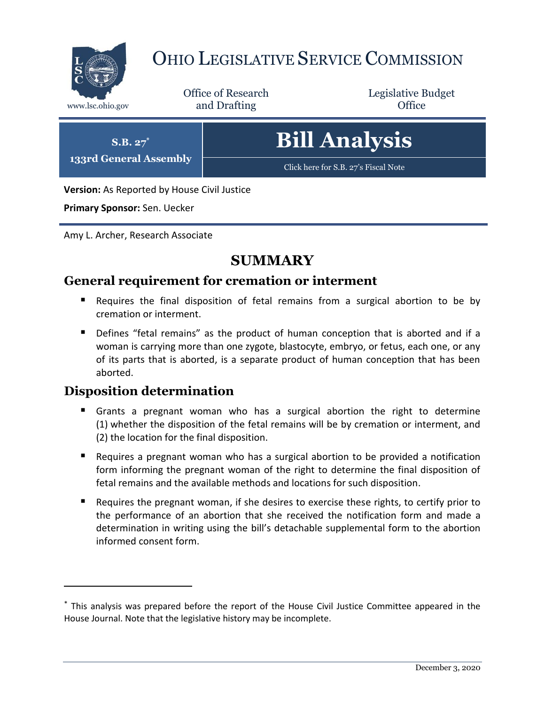

# OHIO LEGISLATIVE SERVICE COMMISSION

Office of Research www.lsc.ohio.gov **and Drafting Office** 

Legislative Budget

| $S.B. 27^*$<br><b>133rd General Assembly</b> | <b>Bill Analysis</b>                 |
|----------------------------------------------|--------------------------------------|
|                                              | Click here for S.B. 27's Fiscal Note |

**Version:** As Reported by House Civil Justice

**Primary Sponsor:** Sen. Uecker

Amy L. Archer, Research Associate

# **SUMMARY**

### **General requirement for cremation or interment**

- Requires the final disposition of fetal remains from a surgical abortion to be by cremation or interment.
- Defines "fetal remains" as the product of human conception that is aborted and if a woman is carrying more than one zygote, blastocyte, embryo, or fetus, each one, or any of its parts that is aborted, is a separate product of human conception that has been aborted.

#### **Disposition determination**

- Grants a pregnant woman who has a surgical abortion the right to determine (1) whether the disposition of the fetal remains will be by cremation or interment, and (2) the location for the final disposition.
- Requires a pregnant woman who has a surgical abortion to be provided a notification form informing the pregnant woman of the right to determine the final disposition of fetal remains and the available methods and locations for such disposition.
- Requires the pregnant woman, if she desires to exercise these rights, to certify prior to the performance of an abortion that she received the notification form and made a determination in writing using the bill's detachable supplemental form to the abortion informed consent form.

<sup>\*</sup> This analysis was prepared before the report of the House Civil Justice Committee appeared in the House Journal. Note that the legislative history may be incomplete.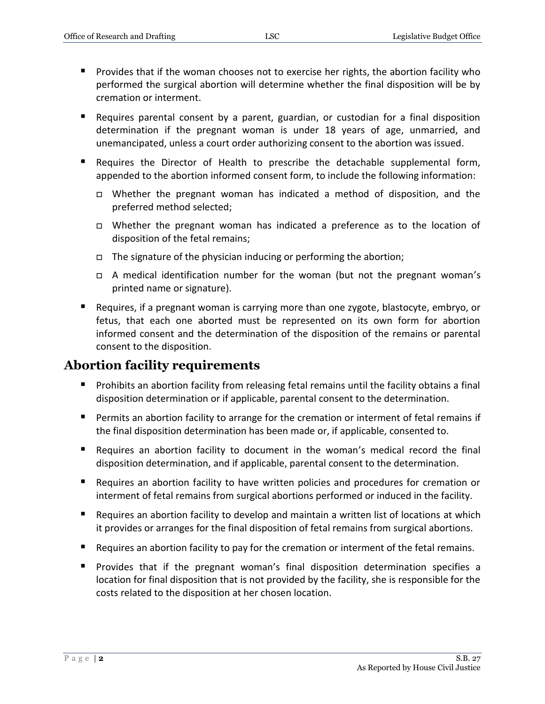- Provides that if the woman chooses not to exercise her rights, the abortion facility who performed the surgical abortion will determine whether the final disposition will be by cremation or interment.
- Requires parental consent by a parent, guardian, or custodian for a final disposition determination if the pregnant woman is under 18 years of age, unmarried, and unemancipated, unless a court order authorizing consent to the abortion was issued.
- Requires the Director of Health to prescribe the detachable supplemental form, appended to the abortion informed consent form, to include the following information:
	- Whether the pregnant woman has indicated a method of disposition, and the preferred method selected;
	- Whether the pregnant woman has indicated a preference as to the location of disposition of the fetal remains;
	- $\Box$  The signature of the physician inducing or performing the abortion;
	- A medical identification number for the woman (but not the pregnant woman's printed name or signature).
- Requires, if a pregnant woman is carrying more than one zygote, blastocyte, embryo, or fetus, that each one aborted must be represented on its own form for abortion informed consent and the determination of the disposition of the remains or parental consent to the disposition.

#### **Abortion facility requirements**

- **Prohibits an abortion facility from releasing fetal remains until the facility obtains a final** disposition determination or if applicable, parental consent to the determination.
- Permits an abortion facility to arrange for the cremation or interment of fetal remains if the final disposition determination has been made or, if applicable, consented to.
- Requires an abortion facility to document in the woman's medical record the final disposition determination, and if applicable, parental consent to the determination.
- Requires an abortion facility to have written policies and procedures for cremation or interment of fetal remains from surgical abortions performed or induced in the facility.
- Requires an abortion facility to develop and maintain a written list of locations at which it provides or arranges for the final disposition of fetal remains from surgical abortions.
- Requires an abortion facility to pay for the cremation or interment of the fetal remains.
- **Provides that if the pregnant woman's final disposition determination specifies a** location for final disposition that is not provided by the facility, she is responsible for the costs related to the disposition at her chosen location.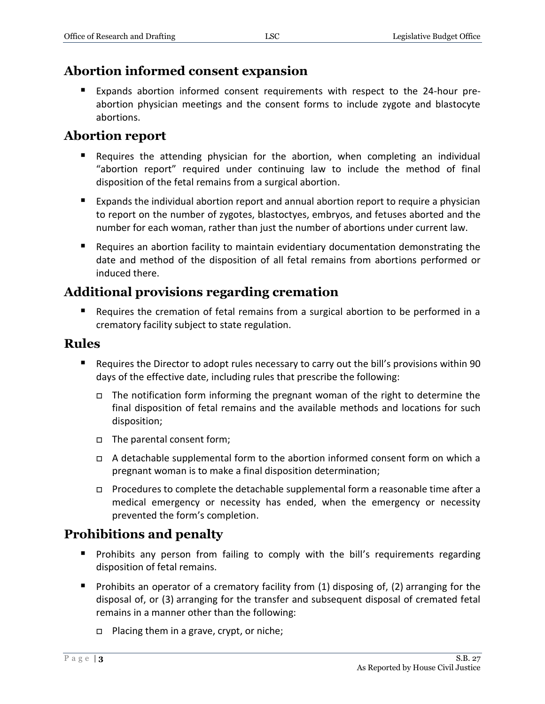## **Abortion informed consent expansion**

 Expands abortion informed consent requirements with respect to the 24-hour preabortion physician meetings and the consent forms to include zygote and blastocyte abortions.

## **Abortion report**

- Requires the attending physician for the abortion, when completing an individual "abortion report" required under continuing law to include the method of final disposition of the fetal remains from a surgical abortion.
- Expands the individual abortion report and annual abortion report to require a physician to report on the number of zygotes, blastoctyes, embryos, and fetuses aborted and the number for each woman, rather than just the number of abortions under current law.
- Requires an abortion facility to maintain evidentiary documentation demonstrating the date and method of the disposition of all fetal remains from abortions performed or induced there.

# **Additional provisions regarding cremation**

 Requires the cremation of fetal remains from a surgical abortion to be performed in a crematory facility subject to state regulation.

#### **Rules**

- Requires the Director to adopt rules necessary to carry out the bill's provisions within 90 days of the effective date, including rules that prescribe the following:
	- □ The notification form informing the pregnant woman of the right to determine the final disposition of fetal remains and the available methods and locations for such disposition;
	- The parental consent form;
	- A detachable supplemental form to the abortion informed consent form on which a pregnant woman is to make a final disposition determination;
	- Procedures to complete the detachable supplemental form a reasonable time after a medical emergency or necessity has ended, when the emergency or necessity prevented the form's completion.

# **Prohibitions and penalty**

- **Prohibits any person from failing to comply with the bill's requirements regarding** disposition of fetal remains.
- **Prohibits an operator of a crematory facility from (1) disposing of, (2) arranging for the** disposal of, or (3) arranging for the transfer and subsequent disposal of cremated fetal remains in a manner other than the following:
	- $\Box$  Placing them in a grave, crypt, or niche;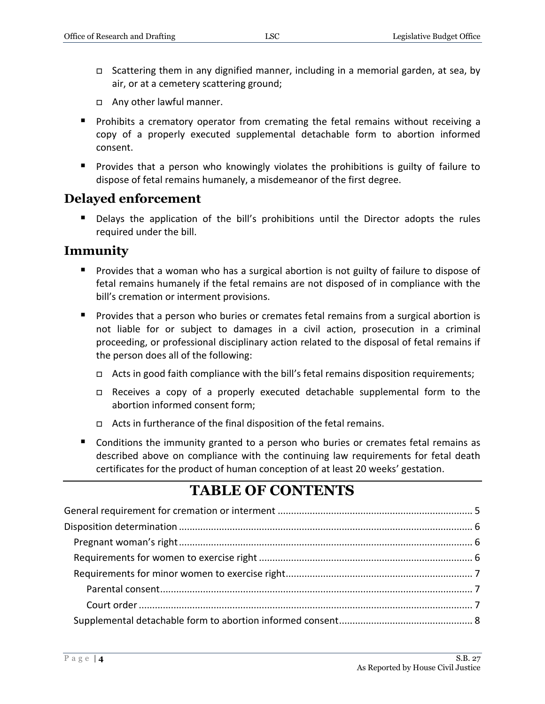- $\Box$  Scattering them in any dignified manner, including in a memorial garden, at sea, by air, or at a cemetery scattering ground;
- Any other lawful manner.
- **Prohibits a crematory operator from cremating the fetal remains without receiving a** copy of a properly executed supplemental detachable form to abortion informed consent.
- **Provides that a person who knowingly violates the prohibitions is guilty of failure to** dispose of fetal remains humanely, a misdemeanor of the first degree.

#### **Delayed enforcement**

 Delays the application of the bill's prohibitions until the Director adopts the rules required under the bill.

#### **Immunity**

- **Provides that a woman who has a surgical abortion is not guilty of failure to dispose of** fetal remains humanely if the fetal remains are not disposed of in compliance with the bill's cremation or interment provisions.
- **Provides that a person who buries or cremates fetal remains from a surgical abortion is** not liable for or subject to damages in a civil action, prosecution in a criminal proceeding, or professional disciplinary action related to the disposal of fetal remains if the person does all of the following:
	- □ Acts in good faith compliance with the bill's fetal remains disposition requirements;
	- Receives a copy of a properly executed detachable supplemental form to the abortion informed consent form;
	- $\Box$  Acts in furtherance of the final disposition of the fetal remains.
- Conditions the immunity granted to a person who buries or cremates fetal remains as described above on compliance with the continuing law requirements for fetal death certificates for the product of human conception of at least 20 weeks' gestation.

# **TABLE OF CONTENTS**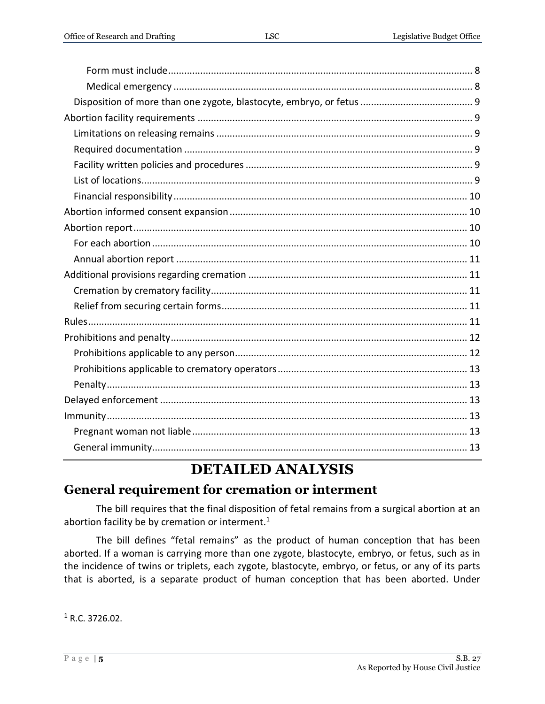# **DETAILED ANALYSIS**

# <span id="page-4-0"></span>**General requirement for cremation or interment**

The bill requires that the final disposition of fetal remains from a surgical abortion at an abortion facility be by cremation or interment. $1$ 

The bill defines "fetal remains" as the product of human conception that has been aborted. If a woman is carrying more than one zygote, blastocyte, embryo, or fetus, such as in the incidence of twins or triplets, each zygote, blastocyte, embryo, or fetus, or any of its parts that is aborted, is a separate product of human conception that has been aborted. Under

 $1 R.C. 3726.02.$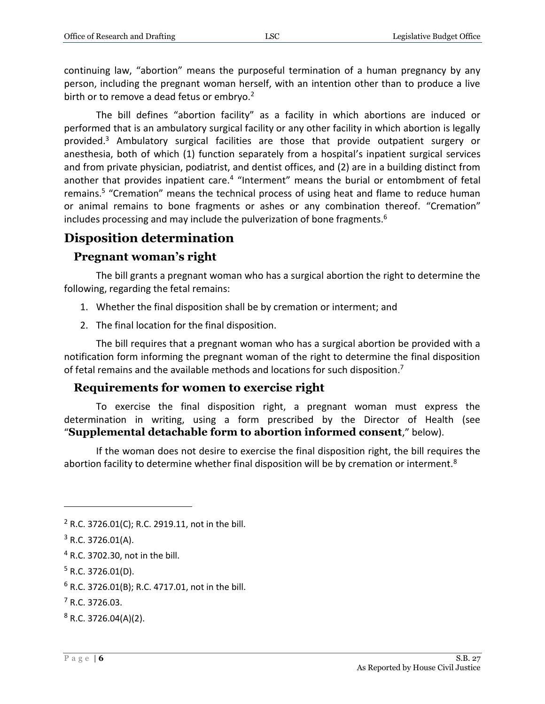continuing law, "abortion" means the purposeful termination of a human pregnancy by any person, including the pregnant woman herself, with an intention other than to produce a live birth or to remove a dead fetus or embryo.<sup>2</sup>

The bill defines "abortion facility" as a facility in which abortions are induced or performed that is an ambulatory surgical facility or any other facility in which abortion is legally provided.<sup>3</sup> Ambulatory surgical facilities are those that provide outpatient surgery or anesthesia, both of which (1) function separately from a hospital's inpatient surgical services and from private physician, podiatrist, and dentist offices, and (2) are in a building distinct from another that provides inpatient care.<sup>4</sup> "Interment" means the burial or entombment of fetal remains.<sup>5</sup> "Cremation" means the technical process of using heat and flame to reduce human or animal remains to bone fragments or ashes or any combination thereof. "Cremation" includes processing and may include the pulverization of bone fragments.<sup>6</sup>

# <span id="page-5-0"></span>**Disposition determination**

#### <span id="page-5-1"></span>**Pregnant woman's right**

The bill grants a pregnant woman who has a surgical abortion the right to determine the following, regarding the fetal remains:

- 1. Whether the final disposition shall be by cremation or interment; and
- 2. The final location for the final disposition.

The bill requires that a pregnant woman who has a surgical abortion be provided with a notification form informing the pregnant woman of the right to determine the final disposition of fetal remains and the available methods and locations for such disposition.<sup>7</sup>

#### <span id="page-5-2"></span>**Requirements for women to exercise right**

To exercise the final disposition right, a pregnant woman must express the determination in writing, using a form prescribed by the Director of Health (see "**Supplemental detachable form to abortion informed consent**," below).

If the woman does not desire to exercise the final disposition right, the bill requires the abortion facility to determine whether final disposition will be by cremation or interment.<sup>8</sup>

 $2$  R.C. 3726.01(C); R.C. 2919.11, not in the bill.

 $3$  R.C. 3726.01(A).

<sup>4</sup> R.C. 3702.30, not in the bill.

 $5$  R.C. 3726.01(D).

 $6$  R.C. 3726.01(B); R.C. 4717.01, not in the bill.

 $<sup>7</sup>$  R.C. 3726.03.</sup>

 $8$  R.C. 3726.04(A)(2).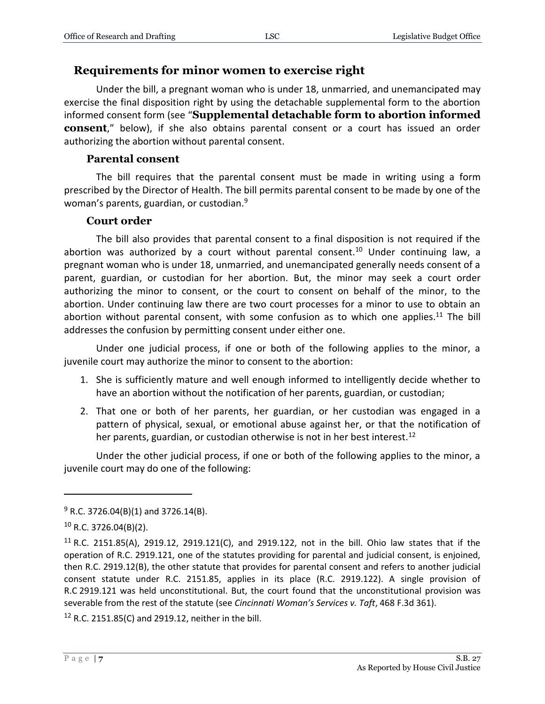#### <span id="page-6-0"></span>**Requirements for minor women to exercise right**

Under the bill, a pregnant woman who is under 18, unmarried, and unemancipated may exercise the final disposition right by using the detachable supplemental form to the abortion informed consent form (see "**Supplemental detachable form to abortion informed consent**," below), if she also obtains parental consent or a court has issued an order authorizing the abortion without parental consent.

#### **Parental consent**

<span id="page-6-1"></span>The bill requires that the parental consent must be made in writing using a form prescribed by the Director of Health. The bill permits parental consent to be made by one of the woman's parents, guardian, or custodian.<sup>9</sup>

#### **Court order**

<span id="page-6-2"></span>The bill also provides that parental consent to a final disposition is not required if the abortion was authorized by a court without parental consent.<sup>10</sup> Under continuing law, a pregnant woman who is under 18, unmarried, and unemancipated generally needs consent of a parent, guardian, or custodian for her abortion. But, the minor may seek a court order authorizing the minor to consent, or the court to consent on behalf of the minor, to the abortion. Under continuing law there are two court processes for a minor to use to obtain an abortion without parental consent, with some confusion as to which one applies. $^{11}$  The bill addresses the confusion by permitting consent under either one.

Under one judicial process, if one or both of the following applies to the minor, a juvenile court may authorize the minor to consent to the abortion:

- 1. She is sufficiently mature and well enough informed to intelligently decide whether to have an abortion without the notification of her parents, guardian, or custodian;
- 2. That one or both of her parents, her guardian, or her custodian was engaged in a pattern of physical, sexual, or emotional abuse against her, or that the notification of her parents, guardian, or custodian otherwise is not in her best interest.<sup>12</sup>

Under the other judicial process, if one or both of the following applies to the minor, a juvenile court may do one of the following:

 $\overline{a}$ 

 $12$  R.C. 2151.85(C) and 2919.12, neither in the bill.

 $9$  R.C. 3726.04(B)(1) and 3726.14(B).

<sup>10</sup> R.C. 3726.04(B)(2).

<sup>&</sup>lt;sup>11</sup> R.C. 2151.85(A), 2919.12, 2919.121(C), and 2919.122, not in the bill. Ohio law states that if the operation of R.C. 2919.121, one of the statutes providing for parental and judicial consent, is enjoined, then R.C. 2919.12(B), the other statute that provides for parental consent and refers to another judicial consent statute under R.C. 2151.85, applies in its place (R.C. 2919.122). A single provision of R.C 2919.121 was held unconstitutional. But, the court found that the unconstitutional provision was severable from the rest of the statute (see *Cincinnati Woman's Services v. Taft*, 468 F.3d 361).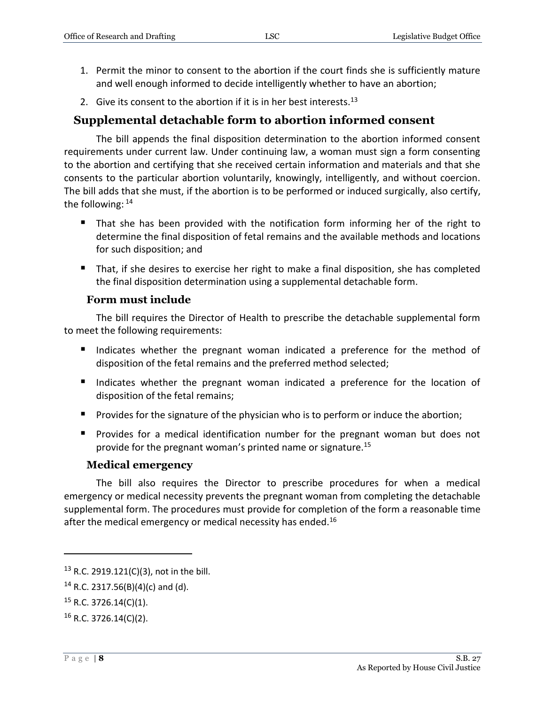- 1. Permit the minor to consent to the abortion if the court finds she is sufficiently mature and well enough informed to decide intelligently whether to have an abortion;
- 2. Give its consent to the abortion if it is in her best interests.<sup>13</sup>

#### <span id="page-7-0"></span>**Supplemental detachable form to abortion informed consent**

The bill appends the final disposition determination to the abortion informed consent requirements under current law. Under continuing law, a woman must sign a form consenting to the abortion and certifying that she received certain information and materials and that she consents to the particular abortion voluntarily, knowingly, intelligently, and without coercion. The bill adds that she must, if the abortion is to be performed or induced surgically, also certify, the following: <sup>14</sup>

- That she has been provided with the notification form informing her of the right to determine the final disposition of fetal remains and the available methods and locations for such disposition; and
- That, if she desires to exercise her right to make a final disposition, she has completed the final disposition determination using a supplemental detachable form.

#### **Form must include**

<span id="page-7-1"></span>The bill requires the Director of Health to prescribe the detachable supplemental form to meet the following requirements:

- Indicates whether the pregnant woman indicated a preference for the method of disposition of the fetal remains and the preferred method selected;
- Indicates whether the pregnant woman indicated a preference for the location of disposition of the fetal remains;
- **Provides for the signature of the physician who is to perform or induce the abortion;**
- **Provides for a medical identification number for the pregnant woman but does not** provide for the pregnant woman's printed name or signature.<sup>15</sup>

#### **Medical emergency**

<span id="page-7-2"></span>The bill also requires the Director to prescribe procedures for when a medical emergency or medical necessity prevents the pregnant woman from completing the detachable supplemental form. The procedures must provide for completion of the form a reasonable time after the medical emergency or medical necessity has ended.<sup>16</sup>

<sup>13</sup> R.C. 2919.121(C)(3), not in the bill.

 $14$  R.C. 2317.56(B)(4)(c) and (d).

 $15$  R.C. 3726.14(C)(1).

 $16$  R.C. 3726.14(C)(2).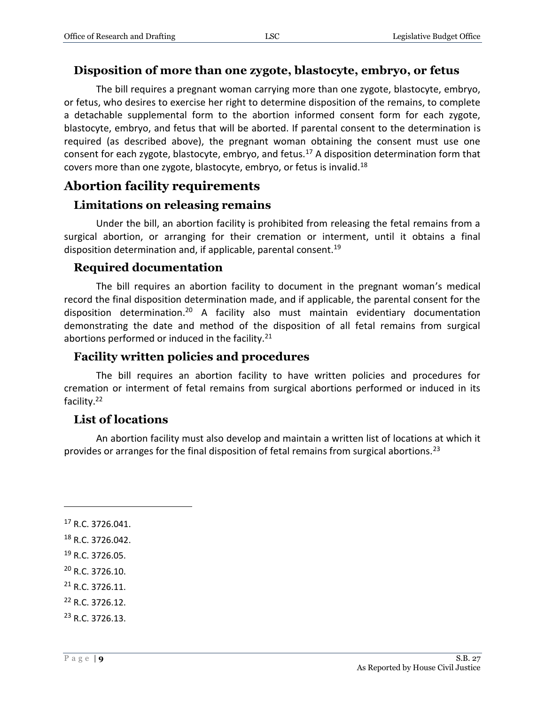#### <span id="page-8-0"></span>**Disposition of more than one zygote, blastocyte, embryo, or fetus**

The bill requires a pregnant woman carrying more than one zygote, blastocyte, embryo, or fetus, who desires to exercise her right to determine disposition of the remains, to complete a detachable supplemental form to the abortion informed consent form for each zygote, blastocyte, embryo, and fetus that will be aborted. If parental consent to the determination is required (as described above), the pregnant woman obtaining the consent must use one consent for each zygote, blastocyte, embryo, and fetus.<sup>17</sup> A disposition determination form that covers more than one zygote, blastocyte, embryo, or fetus is invalid.<sup>18</sup>

### <span id="page-8-1"></span>**Abortion facility requirements**

#### <span id="page-8-2"></span>**Limitations on releasing remains**

Under the bill, an abortion facility is prohibited from releasing the fetal remains from a surgical abortion, or arranging for their cremation or interment, until it obtains a final disposition determination and, if applicable, parental consent.<sup>19</sup>

#### <span id="page-8-3"></span>**Required documentation**

The bill requires an abortion facility to document in the pregnant woman's medical record the final disposition determination made, and if applicable, the parental consent for the disposition determination.<sup>20</sup> A facility also must maintain evidentiary documentation demonstrating the date and method of the disposition of all fetal remains from surgical abortions performed or induced in the facility. $21$ 

#### <span id="page-8-4"></span>**Facility written policies and procedures**

The bill requires an abortion facility to have written policies and procedures for cremation or interment of fetal remains from surgical abortions performed or induced in its facility.<sup>22</sup>

#### <span id="page-8-5"></span>**List of locations**

An abortion facility must also develop and maintain a written list of locations at which it provides or arranges for the final disposition of fetal remains from surgical abortions.<sup>23</sup>

- $21$  R.C. 3726.11.
- <sup>22</sup> R.C. 3726.12.
- <sup>23</sup> R.C. 3726.13.

 $17$  R.C. 3726.041.

<sup>18</sup> R.C. 3726.042.

<sup>19</sup> R.C. 3726.05.

<sup>20</sup> R.C. 3726.10.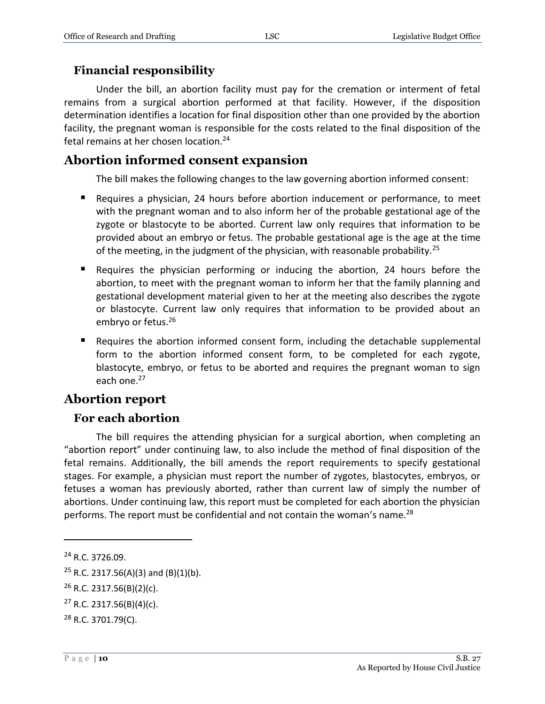#### <span id="page-9-0"></span>**Financial responsibility**

Under the bill, an abortion facility must pay for the cremation or interment of fetal remains from a surgical abortion performed at that facility. However, if the disposition determination identifies a location for final disposition other than one provided by the abortion facility, the pregnant woman is responsible for the costs related to the final disposition of the fetal remains at her chosen location.<sup>24</sup>

#### <span id="page-9-1"></span>**Abortion informed consent expansion**

The bill makes the following changes to the law governing abortion informed consent:

- Requires a physician, 24 hours before abortion inducement or performance, to meet with the pregnant woman and to also inform her of the probable gestational age of the zygote or blastocyte to be aborted. Current law only requires that information to be provided about an embryo or fetus. The probable gestational age is the age at the time of the meeting, in the judgment of the physician, with reasonable probability.<sup>25</sup>
- Requires the physician performing or inducing the abortion, 24 hours before the abortion, to meet with the pregnant woman to inform her that the family planning and gestational development material given to her at the meeting also describes the zygote or blastocyte. Current law only requires that information to be provided about an embryo or fetus.<sup>26</sup>
- Requires the abortion informed consent form, including the detachable supplemental form to the abortion informed consent form, to be completed for each zygote, blastocyte, embryo, or fetus to be aborted and requires the pregnant woman to sign each one.<sup>27</sup>

# <span id="page-9-2"></span>**Abortion report**

#### <span id="page-9-3"></span>**For each abortion**

The bill requires the attending physician for a surgical abortion, when completing an "abortion report" under continuing law, to also include the method of final disposition of the fetal remains. Additionally, the bill amends the report requirements to specify gestational stages. For example, a physician must report the number of zygotes, blastocytes, embryos, or fetuses a woman has previously aborted, rather than current law of simply the number of abortions. Under continuing law, this report must be completed for each abortion the physician performs. The report must be confidential and not contain the woman's name.<sup>28</sup>

<sup>24</sup> R.C. 3726.09.

<sup>&</sup>lt;sup>25</sup> R.C. 2317.56(A)(3) and (B)(1)(b).

<sup>26</sup> R.C. 2317.56(B)(2)(c).

 $27$  R.C. 2317.56(B)(4)(c).

<sup>28</sup> R.C. 3701.79(C).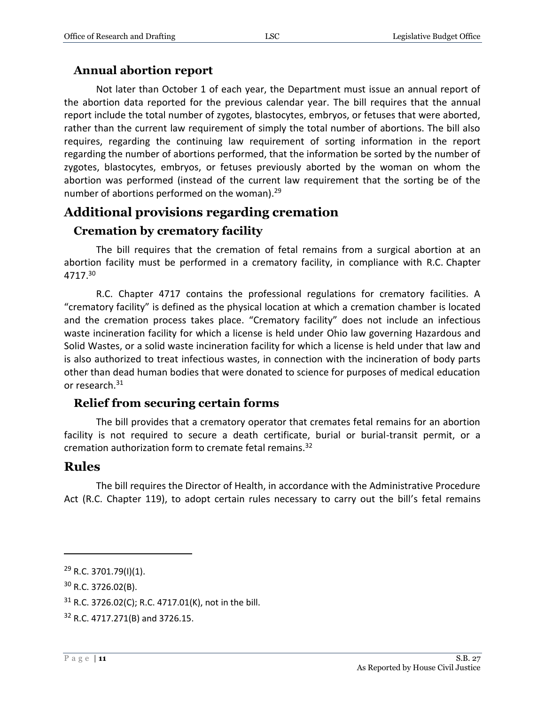#### <span id="page-10-0"></span>**Annual abortion report**

Not later than October 1 of each year, the Department must issue an annual report of the abortion data reported for the previous calendar year. The bill requires that the annual report include the total number of zygotes, blastocytes, embryos, or fetuses that were aborted, rather than the current law requirement of simply the total number of abortions. The bill also requires, regarding the continuing law requirement of sorting information in the report regarding the number of abortions performed, that the information be sorted by the number of zygotes, blastocytes, embryos, or fetuses previously aborted by the woman on whom the abortion was performed (instead of the current law requirement that the sorting be of the number of abortions performed on the woman).<sup>29</sup>

# <span id="page-10-1"></span>**Additional provisions regarding cremation**

#### <span id="page-10-2"></span>**Cremation by crematory facility**

The bill requires that the cremation of fetal remains from a surgical abortion at an abortion facility must be performed in a crematory facility, in compliance with R.C. Chapter 4717.<sup>30</sup>

R.C. Chapter 4717 contains the professional regulations for crematory facilities. A "crematory facility" is defined as the physical location at which a cremation chamber is located and the cremation process takes place. "Crematory facility" does not include an infectious waste incineration facility for which a license is held under Ohio law governing Hazardous and Solid Wastes, or a solid waste incineration facility for which a license is held under that law and is also authorized to treat infectious wastes, in connection with the incineration of body parts other than dead human bodies that were donated to science for purposes of medical education or research.<sup>31</sup>

#### <span id="page-10-3"></span>**Relief from securing certain forms**

The bill provides that a crematory operator that cremates fetal remains for an abortion facility is not required to secure a death certificate, burial or burial-transit permit, or a cremation authorization form to cremate fetal remains.<sup>32</sup>

#### <span id="page-10-4"></span>**Rules**

 $\overline{a}$ 

The bill requires the Director of Health, in accordance with the Administrative Procedure Act (R.C. Chapter 119), to adopt certain rules necessary to carry out the bill's fetal remains

 $29$  R.C. 3701.79(I)(1).

 $30$  R.C. 3726.02(B).

<sup>31</sup> R.C. 3726.02(C); R.C. 4717.01(K), not in the bill.

<sup>32</sup> R.C. 4717.271(B) and 3726.15.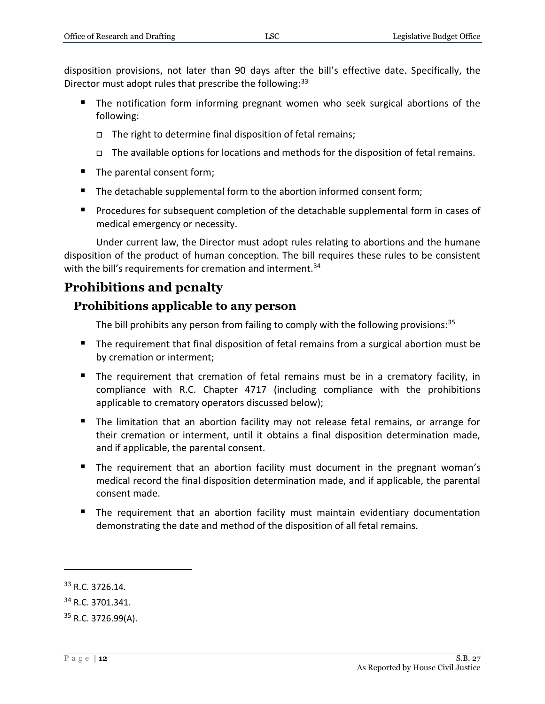disposition provisions, not later than 90 days after the bill's effective date. Specifically, the Director must adopt rules that prescribe the following:<sup>33</sup>

- The notification form informing pregnant women who seek surgical abortions of the following:
	- $\Box$  The right to determine final disposition of fetal remains;
	- $\Box$  The available options for locations and methods for the disposition of fetal remains.
- The parental consent form;
- The detachable supplemental form to the abortion informed consent form;
- **Procedures for subsequent completion of the detachable supplemental form in cases of** medical emergency or necessity.

Under current law, the Director must adopt rules relating to abortions and the humane disposition of the product of human conception. The bill requires these rules to be consistent with the bill's requirements for cremation and interment.<sup>34</sup>

# <span id="page-11-0"></span>**Prohibitions and penalty**

#### <span id="page-11-1"></span>**Prohibitions applicable to any person**

The bill prohibits any person from failing to comply with the following provisions:  $35$ 

- The requirement that final disposition of fetal remains from a surgical abortion must be by cremation or interment;
- The requirement that cremation of fetal remains must be in a crematory facility, in compliance with R.C. Chapter 4717 (including compliance with the prohibitions applicable to crematory operators discussed below);
- The limitation that an abortion facility may not release fetal remains, or arrange for their cremation or interment, until it obtains a final disposition determination made, and if applicable, the parental consent.
- The requirement that an abortion facility must document in the pregnant woman's medical record the final disposition determination made, and if applicable, the parental consent made.
- **The requirement that an abortion facility must maintain evidentiary documentation** demonstrating the date and method of the disposition of all fetal remains.

<sup>33</sup> R.C. 3726.14.

<sup>34</sup> R.C. 3701.341.

 $35$  R.C. 3726.99(A).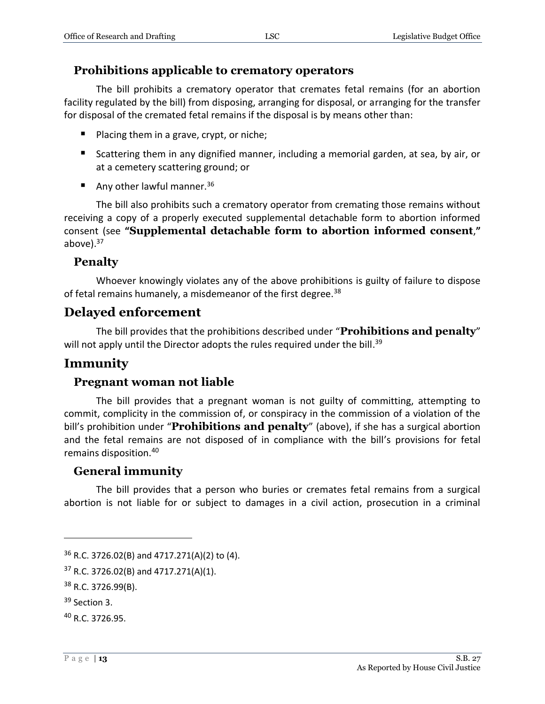#### <span id="page-12-0"></span>**Prohibitions applicable to crematory operators**

The bill prohibits a crematory operator that cremates fetal remains (for an abortion facility regulated by the bill) from disposing, arranging for disposal, or arranging for the transfer for disposal of the cremated fetal remains if the disposal is by means other than:

- **Placing them in a grave, crypt, or niche;**
- Scattering them in any dignified manner, including a memorial garden, at sea, by air, or at a cemetery scattering ground; or
- Any other lawful manner.<sup>36</sup>

The bill also prohibits such a crematory operator from cremating those remains without receiving a copy of a properly executed supplemental detachable form to abortion informed consent (see **"Supplemental detachable form to abortion informed consent**,**"** above $).^{37}$ 

#### <span id="page-12-1"></span>**Penalty**

Whoever knowingly violates any of the above prohibitions is guilty of failure to dispose of fetal remains humanely, a misdemeanor of the first degree.<sup>38</sup>

### <span id="page-12-2"></span>**Delayed enforcement**

The bill provides that the prohibitions described under "**Prohibitions and penalty**" will not apply until the Director adopts the rules required under the bill.<sup>39</sup>

# <span id="page-12-3"></span>**Immunity**

#### <span id="page-12-4"></span>**Pregnant woman not liable**

The bill provides that a pregnant woman is not guilty of committing, attempting to commit, complicity in the commission of, or conspiracy in the commission of a violation of the bill's prohibition under "**Prohibitions and penalty**" (above), if she has a surgical abortion and the fetal remains are not disposed of in compliance with the bill's provisions for fetal remains disposition.<sup>40</sup>

#### <span id="page-12-5"></span>**General immunity**

The bill provides that a person who buries or cremates fetal remains from a surgical abortion is not liable for or subject to damages in a civil action, prosecution in a criminal

<sup>36</sup> R.C. 3726.02(B) and 4717.271(A)(2) to (4).

 $37$  R.C. 3726.02(B) and 4717.271(A)(1).

<sup>38</sup> R.C. 3726.99(B).

<sup>&</sup>lt;sup>39</sup> Section 3.

<sup>40</sup> R.C. 3726.95.